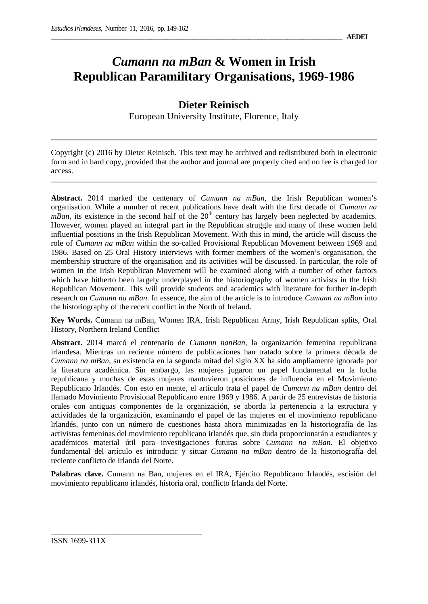# *Cumann na mBan* **& Women in Irish Republican Paramilitary Organisations, 1969-1986**

## **Dieter Reinisch**

European University Institute, Florence, Italy

Copyright (c) 2016 by Dieter Reinisch. This text may be archived and redistributed both in electronic form and in hard copy, provided that the author and journal are properly cited and no fee is charged for access.

**Abstract.** 2014 marked the centenary of *Cumann na mBan*, the Irish Republican women's organisation. While a number of recent publications have dealt with the first decade of *Cumann na*  $mBan$ , its existence in the second half of the  $20<sup>th</sup>$  century has largely been neglected by academics. However, women played an integral part in the Republican struggle and many of these women held influential positions in the Irish Republican Movement. With this in mind, the article will discuss the role of *Cumann na mBan* within the so-called Provisional Republican Movement between 1969 and 1986. Based on 25 Oral History interviews with former members of the women's organisation, the membership structure of the organisation and its activities will be discussed. In particular, the role of women in the Irish Republican Movement will be examined along with a number of other factors which have hitherto been largely underplayed in the historiography of women activists in the Irish Republican Movement. This will provide students and academics with literature for further in-depth research on *Cumann na mBan*. In essence, the aim of the article is to introduce *Cumann na mBan* into the historiography of the recent conflict in the North of Ireland.

**Key Words.** Cumann na mBan, Women IRA, Irish Republican Army, Irish Republican splits, Oral History, Northern Ireland Conflict

**Abstract.** 2014 marcó el centenario de *Cumann nanBan*, la organización femenina republicana irlandesa. Mientras un reciente número de publicaciones han tratado sobre la primera década de *Cumann na mBan*, su existencia en la segunda mitad del siglo XX ha sido ampliamente ignorada por la literatura académica. Sin embargo, las mujeres jugaron un papel fundamental en la lucha republicana y muchas de estas mujeres mantuvieron posiciones de influencia en el Movimiento Republicano Irlandés. Con esto en mente, el artículo trata el papel de *Cumann na mBan* dentro del llamado Movimiento Provisional Republicano entre 1969 y 1986. A partir de 25 entrevistas de historia orales con antiguas componentes de la organización, se aborda la pertenencia a la estructura y actividades de la organización, examinando el papel de las mujeres en el movimiento republicano lrlandés, junto con un número de cuestiones hasta ahora minimizadas en la historiografía de las activistas femeninas del movimiento republicano irlandés que, sin duda proporcionarán a estudiantes y académicos material útil para investigaciones futuras sobre *Cumann na mBan*. El objetivo fundamental del artículo es introducir y situar *Cumann na mBan* dentro de la historiografía del reciente conflicto de Irlanda del Norte.

**Palabras clave.** Cumann na Ban, mujeres en el IRA, Ejército Republicano Irlandés, escisión del movimiento republicano irlandés, historia oral, conflicto Irlanda del Norte.

\_\_\_\_\_\_\_\_\_\_\_\_\_\_\_\_\_\_\_\_\_\_\_\_\_\_\_\_\_\_\_\_\_\_\_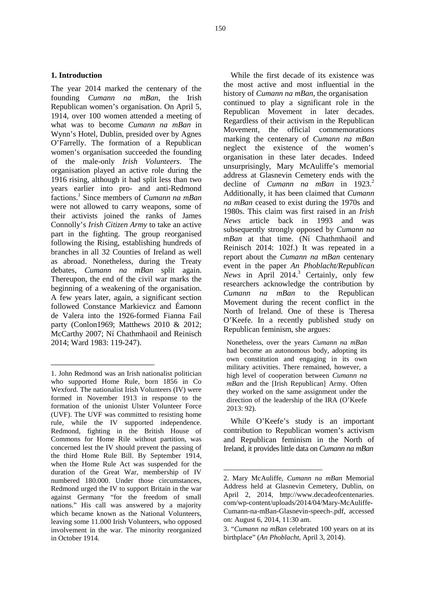#### **1. Introduction**

The year 2014 marked the centenary of the founding *Cumann na mBan*, the Irish Republican women's organisation. On April 5, 1914, over 100 women attended a meeting of what was to become *Cumann na mBan* in Wynn's Hotel, Dublin, presided over by Agnes O'Farrelly. The formation of a Republican women's organisation succeeded the founding of the male-only *Irish Volunteers*. The organisation played an active role during the 1916 rising, although it had split less than two years earlier into pro- and anti-Redmond factions.<sup>1</sup> Since members of *Cumann na mBan* were not allowed to carry weapons, some of their activists joined the ranks of James Connolly's *Irish Citizen Army* to take an active part in the fighting. The group reorganised following the Rising, establishing hundreds of branches in all 32 Counties of Ireland as well as abroad. Nonetheless, during the Treaty debates, *Cumann na mBan* split again. Thereupon, the end of the civil war marks the beginning of a weakening of the organisation. A few years later, again, a significant section followed Constance Markievicz and Éamonn de Valera into the 1926-formed Fianna Fail party (Conlon1969; Matthews 2010 & 2012; McCarthy 2007; Ní Chathmhaoil and Reinisch 2014; Ward 1983: 119-247).

 $\overline{\phantom{a}}$  , where  $\overline{\phantom{a}}$  , where  $\overline{\phantom{a}}$  , where  $\overline{\phantom{a}}$ 

While the first decade of its existence was the most active and most influential in the history of *Cumann na mBan*, the organisation continued to play a significant role in the Republican Movement in later decades. Regardless of their activism in the Republican Movement, the official commemorations marking the centenary of *Cumann na mBan* neglect the existence of the women's organisation in these later decades. Indeed unsurprisingly, Mary McAuliffe's memorial address at Glasnevin Cemetery ends with the decline of *Cumann na mBan* in 1923.<sup>2</sup> Additionally, it has been claimed that *Cumann na mBan* ceased to exist during the 1970s and 1980s. This claim was first raised in an *Irish News* article back in 1993 and was subsequently strongly opposed by *Cumann na mBan* at that time. (Ní Chathmhaoil and Reinisch 2014: 102f.) It was repeated in a report about the *Cumann na mBan* centenary event in the paper *An Phoblacht/Republican News* in April 2014.<sup>3</sup> Certainly, only few researchers acknowledge the contribution by *Cumann na mBan* to the Republican Movement during the recent conflict in the North of Ireland. One of these is Theresa O'Keefe. In a recently published study on Republican feminism, she argues:

Nonetheless, over the years *Cumann na mBan* had become an autonomous body, adopting its own constitution and engaging in its own military activities. There remained, however, a high level of cooperation between *Cumann na mBan* and the [Irish Republican] Army. Often they worked on the same assignment under the direction of the leadership of the IRA (O'Keefe 2013: 92).

While O'Keefe's study is an important contribution to Republican women's activism and Republican feminism in the North of Ireland, it provides little data on *Cumann na mBan*

\_\_\_\_\_\_\_\_\_\_\_\_\_\_\_\_\_\_\_\_\_\_\_\_\_

<sup>1.</sup> John Redmond was an Irish nationalist politician who supported Home Rule, born 1856 in Co Wexford. The nationalist Irish Volunteers (IV) were formed in November 1913 in response to the formation of the unionist Ulster Volunteer Force (UVF). The UVF was committed to resisting home rule, while the IV supported independence. Redmond, fighting in the British House of Commons for Home Rile without partition, was concerned lest the IV should prevent the passing of the third Home Rule Bill. By September 1914, when the Home Rule Act was suspended for the duration of the Great War, membership of IV numbered 180.000. Under those circumstances, Redmond urged the IV to support Britain in the war against Germany "for the freedom of small nations." His call was answered by a majority which became known as the National Volunteers, leaving some 11.000 Irish Volunteers, who opposed involvement in the war. The minority reorganized in October 1914.

<sup>2.</sup> Mary McAuliffe, *Cumann na mBan* Memorial Address held at Glasnevin Cemetery, Dublin, on April 2, 2014, http://www.decadeofcentenaries. com/wp-content/uploads/2014/04/Mary-McAuliffe- Cumann-na-mBan-Glasnevin-speech-.pdf, accessed on: August 6, 2014, 11:30 am.

<sup>3.</sup> "*Cumann na mBan* celebrated 100 years on at its birthplace" (*An Phoblacht*, April 3, 2014).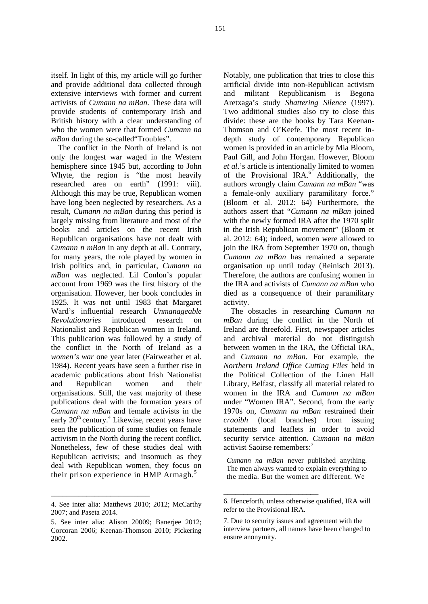itself. In light of this, my article will go further and provide additional data collected through extensive interviews with former and current activists of *Cumann na mBan*. These data will provide students of contemporary Irish and British history with a clear understanding of who the women were that formed *Cumann na mBan* during the so-called Troubles".

The conflict in the North of Ireland is not only the longest war waged in the Western hemisphere since 1945 but, according to John Whyte, the region is "the most heavily researched area on earth" (1991: viii). Although this may be true, Republican women have long been neglected by researchers. As a result, *Cumann na mBan* during this period is largely missing from literature and most of the books and articles on the recent Irish Republican organisations have not dealt with *Cumann n mBan* in any depth at all. Contrary, for many years, the role played by women in Irish politics and, in particular, *Cumann na mBan* was neglected. Lil Conlon's popular account from 1969 was the first history of the organisation. However, her book concludes in 1925. It was not until 1983 that Margaret Ward's influential research *Unmanageable Revolutionaries* introduced research on Nationalist and Republican women in Ireland. This publication was followed by a study of the conflict in the North of Ireland as a *women's war* one year later (Fairweather et al. 1984). Recent years have seen a further rise in academic publications about Irish Nationalist and Republican women and their organisations. Still, the vast majority of these publications deal with the formation years of *Cumann na mBan* and female activists in the early  $20^{th}$  century.<sup>4</sup> Likewise, recent years have *craoibh* seen the publication of some studies on female activism in the North during the recent conflict. Nonetheless, few of these studies deal with Republican activists; and insomuch as they deal with Republican women, they focus on their prison experience in HMP Armagh.<sup>5</sup>

4. See inter alia: Matthews 2010; 2012; McCarthy 2007; and Paseta 2014.

\_\_\_\_\_\_\_\_\_\_\_\_\_\_\_\_\_\_\_\_\_\_\_\_\_

Notably, one publication that tries to close this artificial divide into non-Republican activism and militant Republicanism is Begona Aretxaga's study *Shattering Silence* (1997). Two additional studies also try to close this divide: these are the books by Tara Keenan- Thomson and O'Keefe. The most recent in depth study of contemporary Republican women is provided in an article by Mia Bloom, Paul Gill, and John Horgan. However, Bloom *et al.*'s article is intentionally limited to women of the Provisional IRA.<sup>6</sup> Additionally, the authors wrongly claim *Cumann na mBan* "was a female-only auxiliary paramilitary force." (Bloom et al. 2012: 64) Furthermore, the authors assert that "*Cumann na mBan* joined with the newly formed IRA after the 1970 split in the Irish Republican movement" (Bloom et al. 2012: 64); indeed, women were allowed to join the IRA from September 1970 on, though *Cumann na mBan* has remained a separate organisation up until today (Reinisch 2013). Therefore, the authors are confusing women in the IRA and activists of *Cumann na mBan* who died as a consequence of their paramilitary activity.

The obstacles in researching *Cumann na mBan* during the conflict in the North of Ireland are threefold. First, newspaper articles and archival material do not distinguish between women in the IRA, the Official IRA, and *Cumann na mBan*. For example, the *Northern Ireland Office Cutting Files* held in the Political Collection of the Linen Hall Library, Belfast, classify all material related to women in the IRA and *Cumann na mBan* under "Women IRA". Second, from the early 1970s on, *Cumann na mBan* restrained their *coral* branches) from issuing statements and leaflets in order to avoid security service attention. *Cumann na mBan* activist Saoirse remembers:<sup>7</sup>

*Cumann na mBan* never published anything. The men always wanted to explain everything to the media. But the women are different. We

\_\_\_\_\_\_\_\_\_\_\_\_\_\_\_\_\_\_\_\_\_\_\_\_

<sup>5.</sup> See inter alia: Alison 20009; Banerjee 2012; Corcoran 2006; Keenan-Thomson 2010; Pickering 2002.

<sup>6.</sup> Henceforth, unless otherwise qualified, IRA will refer to the Provisional IRA.

<sup>7.</sup> Due to security issues and agreement with the interview partners, all names have been changed to ensure anonymity.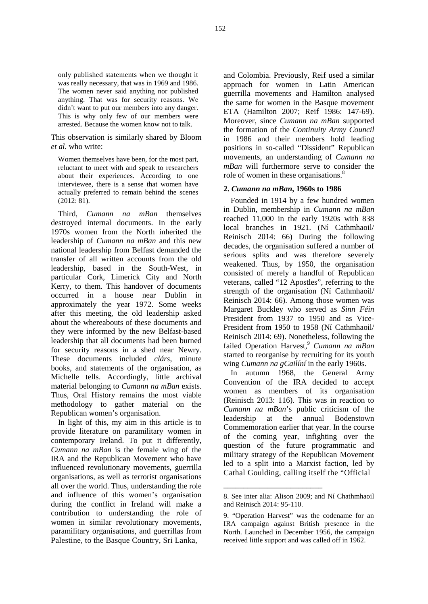only published statements when we thought it was really necessary, that was in 1969 and 1986. The women never said anything nor published anything. That was for security reasons. We didn't want to put our members into any danger. This is why only few of our members were arrested. Because the women know not to talk.

This observation is similarly shared by Bloom *et al.* who write:

Women themselves have been, for the most part, reluctant to meet with and speak to researchers about their experiences. According to one interviewee, there is a sense that women have actually preferred to remain behind the scenes (2012: 81).

Third, *Cumann na mBan* themselves destroyed internal documents. In the early 1970s women from the North inherited the leadership of *Cumann na mBan* and this new national leadership from Belfast demanded the transfer of all written accounts from the old leadership, based in the South-West, in particular Cork, Limerick City and North Kerry, to them. This handover of documents occurred in a house near Dublin in approximately the year 1972. Some weeks after this meeting, the old leadership asked about the whereabouts of these documents and they were informed by the new Belfast-based leadership that all documents had been burned for security reasons in a shed near Newry. These documents included *clárs*, minute books, and statements of the organisation, as Michelle tells. Accordingly, little archival material belonging to *Cumann na mBan* exists. Thus, Oral History remains the most viable methodology to gather material on the Republican women's organisation.

In light of this, my aim in this article is to  $\overline{a}$  leadership at the provide literature on paramilitary women in contemporary Ireland. To put it differently, *Cumann na mBan* is the female wing of the IRA and the Republican Movement who have influenced revolutionary movements, guerrilla organisations, as well as terrorist organisations all over the world. Thus, understanding the role and influence of this women's organisation during the conflict in Ireland will make a contribution to understanding the role of women in similar revolutionary movements, paramilitary organisations, and guerrillas from Palestine, to the Basque Country, Sri Lanka,

and Colombia. Previously, Reif used a similar approach for women in Latin American guerrilla movements and Hamilton analysed the same for women in the Basque movement ETA (Hamilton 2007; Reif 1986: 147-69). Moreover, since *Cumann na mBan* supported the formation of the *Continuity Army Council* in 1986 and their members hold leading positions in so-called "Dissident" Republican movements, an understanding of *Cumann na mBan* will furthermore serve to consider the role of women in these organisations.<sup>8</sup>

#### **2.** *Cumann na mBan***, 1960s to 1986**

Founded in 1914 by a few hundred women in Dublin, membership in *Cumann na mBan* reached 11,000 in the early 1920s with 838 local branches in 1921. (Ní Cathmhaoil/ Reinisch 2014: 66) During the following decades, the organisation suffered a number of serious splits and was therefore severely weakened. Thus, by 1950, the organisation consisted of merely a handful of Republican veterans, called "12 Apostles", referring to the strength of the organisation (Ní Cathmhaoil/ Reinisch 2014: 66). Among those women was Margaret Buckley who served as *Sinn Féin* President from 1937 to 1950 and as Vice- President from 1950 to 1958 (Ní Cathmhaoil/ Reinisch 2014: 69). Nonetheless, following the failed Operation Harvest,<sup>9</sup> Cumann na mBan started to reorganise by recruiting for its youth wing *Cumann na gCailíní* in the early 1960s.

In autumn 1968, the General Army Convention of the IRA decided to accept women as members of its organisation (Reinisch 2013: 116). This was in reaction to *Cumann na mBan*'s public criticism of the annual Bodenstown Commemoration earlier that year. In the course of the coming year, infighting over the question of the future programmatic and military strategy of the Republican Movement led to a split into a Marxist faction, led by Cathal Goulding, calling itself the "Official

\_\_\_\_\_\_\_\_\_\_\_\_\_\_\_\_\_\_\_\_\_\_\_\_\_

<sup>8.</sup> See inter alia: Alison 2009; and Ní Chathmhaoil and Reinisch 2014: 95-110.

<sup>9.</sup> "Operation Harvest" was the codename for an IRA campaign against British presence in the North. Launched in December 1956, the campaign received little support and was called off in 1962.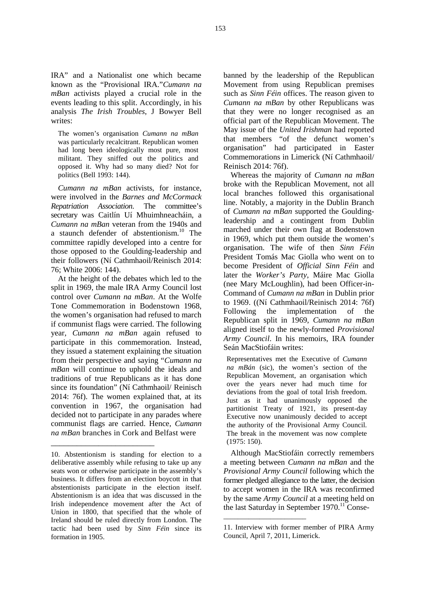IRA" and a Nationalist one which became known as the "Provisional IRA."*Cumann na mBan* activists played a crucial role in the events leading to this split. Accordingly, in his analysis *The Irish Troubles*, J Bowyer Bell writes:

The women's organisation *Cumann na mBan* was particularly recalcitrant. Republican women had long been ideologically most pure, most militant. They sniffed out the politics and opposed it. Why had so many died? Not for politics (Bell 1993: 144).

*Cumann na mBan* activists, for instance, were involved in the *Barnes and McCormack Repatriation Association*. The committee's secretary was Caitlín Uí Mhuimhneacháin, a *Cumann na mBan* veteran from the 1940s and a staunch defender of abstentionism.<sup>10</sup> The committee rapidly developed into a centre for those opposed to the Goulding-leadership and their followers (Ní Cathmhaoil/Reinisch 2014: 76; White 2006: 144).

At the height of the debates which led to the split in 1969, the male IRA Army Council lost control over *Cumann na mBan*. At the Wolfe Tone Commemoration in Bodenstown 1968, the women's organisation had refused to march if communist flags were carried. The following year, *Cumann na mBan* again refused to participate in this commemoration. Instead, they issued a statement explaining the situation from their perspective and saying "*Cumann na mBan* will continue to uphold the ideals and traditions of true Republicans as it has done since its foundation" (Ní Cathmhaoil/ Reinisch 2014: 76f). The women explained that, at its convention in 1967, the organisation had decided not to participate in any parades where communist flags are carried. Hence, *Cumann na mBan* branches in Cork and Belfast were

 $\overline{\phantom{a}}$  , where  $\overline{\phantom{a}}$  , where  $\overline{\phantom{a}}$  , where  $\overline{\phantom{a}}$ 

banned by the leadership of the Republican Movement from using Republican premises such as *Sinn Féin* offices. The reason given to *Cumann na mBan* by other Republicans was that they were no longer recognised as an official part of the Republican Movement. The May issue of the *United Irishman* had reported that members "of the defunct women's organisation" had participated in Easter Commemorations in Limerick (Ní Cathmhaoil/ Reinisch 2014: 76f).

Whereas the majority of *Cumann na mBan* broke with the Republican Movement, not all local branches followed this organisational line. Notably, a majority in the Dublin Branch of *Cumann na mBan* supported the Gouldingleadership and a contingent from Dublin marched under their own flag at Bodenstown in 1969, which put them outside the women's organisation. The wife of then *Sinn Féin* President Tomás Mac Giolla who went on to become President of *Official Sinn Féin* and later the *Worker's Party*, Máire Mac Giolla (nee Mary McLoughlin), had been Officer-in- Command of *Cumann na mBan* in Dublin prior to 1969. ((Ní Cathmhaoil/Reinisch 2014: 76f) the implementation of the Republican split in 1969, *Cumann na mBan* aligned itself to the newly-formed *Provisional Army Council*. In his memoirs, IRA founder Seán MacStiofáin writes:

Representatives met the Executive of *Cumann na mBán* (sic), the women's section of the Republican Movement, an organisation which over the years never had much time for deviations from the goal of total Irish freedom. Just as it had unanimously opposed the partitionist Treaty of 1921, its present-day Executive now unanimously decided to accept the authority of the Provisional Army Council. The break in the movement was now complete (1975: 150).

Although MacStiofáin correctly remembers a meeting between *Cumann na mBan* and the *Provisional Army Council* following which the former pledged allegiance to the latter, the decision to accept women in the IRA was reconfirmed by the same *Army Council* at a meeting held on the last Saturday in September 1970.<sup>11</sup> Conse-

 $\overline{\phantom{a}}$  , and the set of the set of the set of the set of the set of the set of the set of the set of the set of the set of the set of the set of the set of the set of the set of the set of the set of the set of the s

<sup>10.</sup> Abstentionism is standing for election to a deliberative assembly while refusing to take up any seats won or otherwise participate in the assembly's business. It differs from an election boycott in that abstentionists participate in the election itself. Abstentionism is an idea that was discussed in the Irish independence movement after the Act of Union in 1800, that specified that the whole of Ireland should be ruled directly from London. The tactic had been used by *Sinn Féin* since its formation in 1905.

<sup>11.</sup> Interview with former member of PIRA Army Council, April 7, 2011, Limerick.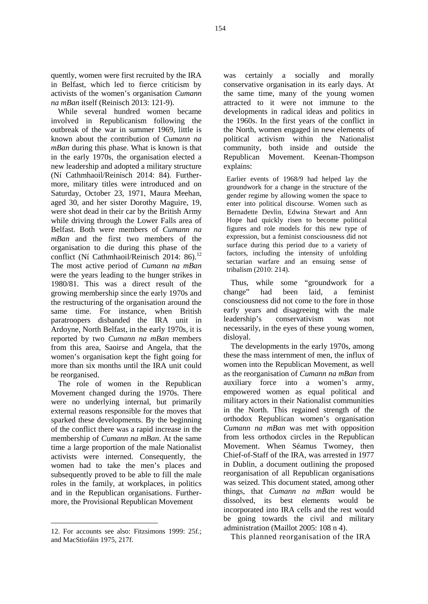quently, women were first recruited by the IRA in Belfast, which led to fierce criticism by activists of the women's organisation *Cumann na mBan* itself (Reinisch 2013: 121-9).

While several hundred women became involved in Republicanism following the outbreak of the war in summer 1969, little is known about the contribution of *Cumann na mBan* during this phase. What is known is that in the early 1970s, the organisation elected a new leadership and adopted a military structure (Ní Cathmhaoil/Reinisch 2014: 84). Further more, military titles were introduced and on Saturday, October 23, 1971, Maura Meehan, aged 30, and her sister Dorothy Maguire, 19, were shot dead in their car by the British Army while driving through the Lower Falls area of Belfast. Both were members of *Cumann na mBan* and the first two members of the organisation to die during this phase of the conflict (Ní Cathmhaoil/Reinisch 2014: 86).<sup>12</sup> The most active period of *Cumann na mBan* were the years leading to the hunger strikes in 1980/81. This was a direct result of the growing membership since the early 1970s and the restructuring of the organisation around the same time. For instance, when British early years<br>paratroopers disbanded the IRA unit in leadership's paratroopers disbanded the IRA unit in Ardoyne, North Belfast, in the early 1970s, it is reported by two *Cumann na mBan* members from this area, Saoirse and Angela, that the women's organisation kept the fight going for more than six months until the IRA unit could be reorganised.

The role of women in the Republican Movement changed during the 1970s. There were no underlying internal, but primarily external reasons responsible for the moves that sparked these developments. By the beginning of the conflict there was a rapid increase in the membership of *Cumann na mBan*. At the same time a large proportion of the male Nationalist activists were interned. Consequently, the women had to take the men's places and subsequently proved to be able to fill the male roles in the family, at workplaces, in politics and in the Republican organisations. Further more, the Provisional Republican Movement

\_\_\_\_\_\_\_\_\_\_\_\_\_\_\_\_\_\_\_\_\_\_\_\_\_\_\_

certainly a socially and morally conservative organisation in its early days. At the same time, many of the young women attracted to it were not immune to the developments in radical ideas and politics in the 1960s. In the first years of the conflict in the North, women engaged in new elements of political activism within the Nationalist community, both inside and outside the Republican Movement. Keenan-Thompson explains:

Earlier events of 1968/9 had helped lay the groundwork for a change in the structure of the gender regime by allowing women the space to enter into political discourse. Women such as Bernadette Devlin, Edwina Stewart and Ann Hope had quickly risen to become political figures and role models for this new type of expression, but a feminist consciousness did not surface during this period due to a variety of factors, including the intensity of unfolding sectarian warfare and an ensuing sense of tribalism (2010: 214).

Thus, while some "groundwork for a had been laid, a feminist consciousness did not come to the fore in those early years and disagreeing with the male conservativism was not necessarily, in the eyes of these young women, disloyal.

The developments in the early 1970s, among these the mass internment of men, the influx of women into the Republican Movement, as well as the reorganisation of *Cumann na mBan* from auxiliary force into a women's army, empowered women as equal political and military actors in their Nationalist communities in the North. This regained strength of the orthodox Republican women's organisation *Cumann na mBan* was met with opposition from less orthodox circles in the Republican Movement. When Séamus Twomey, then Chief-of-Staff of the IRA, was arrested in 1977 in Dublin, a document outlining the proposed reorganisation of all Republican organisations was seized. This document stated, among other things, that *Cumann na mBan* would be dissolved, its best elements would be incorporated into IRA cells and the rest would be going towards the civil and military administration (Maillot 2005: 108 n 4).

This planned reorganisation of the IRA

<sup>12.</sup> For accounts see also: Fitzsimons 1999: 25f.; and MacStiofáin 1975, 217f.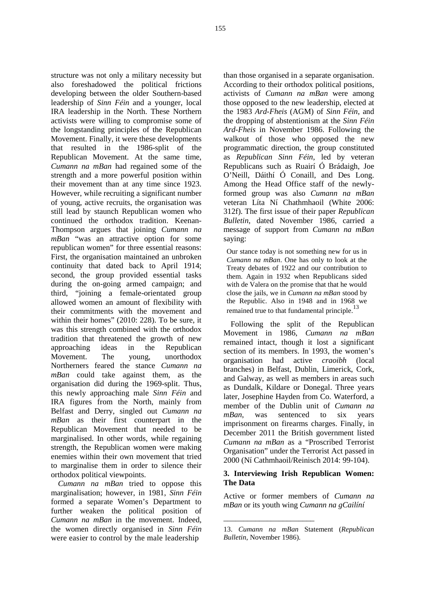structure was not only a military necessity but also foreshadowed the political frictions developing between the older Southern-based leadership of *Sinn Féin* and a younger, local IRA leadership in the North. These Northern activists were willing to compromise some of the longstanding principles of the Republican Movement. Finally, it were these developments that resulted in the 1986-split of the Republican Movement. At the same time, *Cumann na mBan* had regained some of the strength and a more powerful position within their movement than at any time since 1923. However, while recruiting a significant number of young, active recruits, the organisation was still lead by staunch Republican women who continued the orthodox tradition. Keenan- Thompson argues that joining *Cumann na mBan* "was an attractive option for some republican women" for three essential reasons: First, the organisation maintained an unbroken continuity that dated back to April 1914; second, the group provided essential tasks during the on-going armed campaign; and third, "joining a female-orientated group allowed women an amount of flexibility with their commitments with the movement and within their homes" (2010: 228). To be sure, it was this strength combined with the orthodox tradition that threatened the growth of new approaching ideas in the Republican Movement. The young, unorthodox Northerners feared the stance *Cumann na mBan* could take against them, as the organisation did during the 1969-split. Thus, this newly approaching male *Sinn Féin* and IRA figures from the North, mainly from Belfast and Derry, singled out *Cumann na mBan. mBan* as their first counterpart in the Republican Movement that needed to be marginalised. In other words, while regaining strength, the Republican women were making enemies within their own movement that tried to marginalise them in order to silence their orthodox political viewpoints.

*Cumann na mBan* tried to oppose this marginalisation; however, in 1981, *Sinn Féin* formed a separate Women's Department to further weaken the political position of *Cumann na mBan* in the movement. Indeed, the women directly organised in *Sinn Féin* were easier to control by the male leadership

than those organised in a separate organisation. According to their orthodox political positions, activists of *Cumann na mBan* were among those opposed to the new leadership, elected at the 1983 *Ard-Fheis* (AGM) of *Sinn Féin*, and the dropping of abstentionism at the *Sinn Féin Ard-Fheis* in November 1986. Following the walkout of those who opposed the new programmatic direction, the group constituted as *Republican Sinn Féin*, led by veteran Republicans such as Ruairí Ó Brádaigh, Joe O'Neill, Dáithí Ó Conaill, and Des Long. Among the Head Office staff of the newlyformed group was also *Cumann na mBan* veteran Líta Ní Chathmhaoil (White 2006: 312f). The first issue of their paper *Republican Bulletin*, dated November 1986, carried a message of support from *Cumann na mBan* saying:

Our stance today is not something new for us in *Cumann na mBan*. One has only to look at the Treaty debates of 1922 and our contribution to them. Again in 1932 when Republicans sided with de Valera on the promise that that he would close the jails, we in *Cumann na mBan* stood by the Republic. Also in 1948 and in 1968 we remained true to that fundamental principle.<sup>13</sup>

Following the split of the Republican Movement in 1986, *Cumann na mBan* remained intact, though it lost a significant section of its members. In 1993, the women's organisation had active *craoibh* (local branches) in Belfast, Dublin, Limerick, Cork, and Galway, as well as members in areas such as Dundalk, Kildare or Donegal. Three years later, Josephine Hayden from Co. Waterford, a member of the Dublin unit of *Cumann na* was sentenced to six years imprisonment on firearms charges. Finally, in December 2011 the British government listed *Cumann na mBan* as a "Proscribed Terrorist Organisation" under the Terrorist Act passed in 2000 (Ní Cathmhaoil/Reinisch 2014: 99-104).

### **3. Interviewing Irish Republican Women: The Data**

Active or former members of *Cumann na mBan* or its youth wing *Cumann na gCailíní*

\_\_\_\_\_\_\_\_\_\_\_\_\_\_\_\_\_\_\_\_\_\_\_

<sup>13.</sup> *Cumann na mBan* Statement (*Republican Bulletin*, November 1986).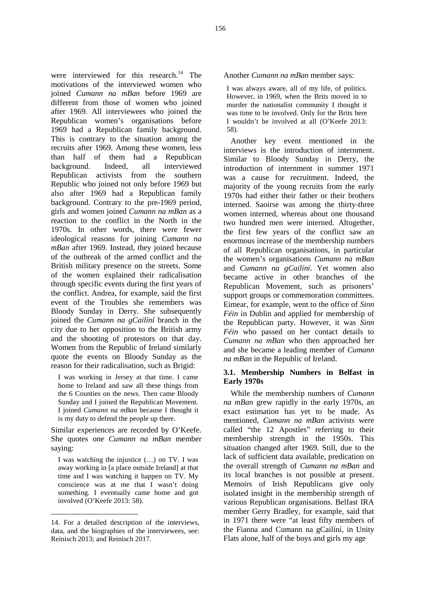were interviewed for this research.<sup>14</sup> The motivations of the interviewed women who joined *Cumann na mBan* before 1969 are different from those of women who joined after 1969. All interviewees who joined the Republican women's organisations before 1969 had a Republican family background. This is contrary to the situation among the recruits after 1969. Among these women, less than half of them had a Republican background. Indeed, all interviewed Republican activists from the southern Republic who joined not only before 1969 but also after 1969 had a Republican family background. Contrary to the pre-1969 period, girls and women joined *Cumann na mBan* as a reaction to the conflict in the North in the 1970s. In other words, there were fewer ideological reasons for joining *Cumann na mBan* after 1969. Instead, they joined because of the outbreak of the armed conflict and the British military presence on the streets. Some of the women explained their radicalisation through specific events during the first years of the conflict. Andrea, for example, said the first event of the Troubles she remembers was Bloody Sunday in Derry. She subsequently joined the *Cumann na gCailíní* branch in the city due to her opposition to the British army and the shooting of protestors on that day. Women from the Republic of Ireland similarly quote the events on Bloody Sunday as the reason for their radicalisation, such as Brigid:

I was working in Jersey at that time. I came home to Ireland and saw all these things from the 6 Counties on the news. Then came Bloody Sunday and I joined the Republican Movement. I joined *Cumann na mBan* because I thought it is my duty to defend the people up there.

Similar experiences are recorded by O'Keefe. She quotes one *Cumann na mBan* member saying:

I was watching the injustice (…) on TV. I was away working in [a place outside Ireland] at that time and I was watching it happen on TV. My conscience was at me that I wasn't doing something. I eventually came home and got involved (O'Keefe 2013: 58).

\_\_\_\_\_\_\_\_\_\_\_\_\_\_\_\_\_\_\_\_\_\_

Another *Cumann na mBan* member says:

I was always aware, all of my life, of politics. However, in 1969, when the Brits moved in to murder the nationalist community I thought it was time to be involved. Only for the Brits here I wouldn't be involved at all (O'Keefe 2013: 58).

Another key event mentioned in the interviews is the introduction of internment. Similar to Bloody Sunday in Derry, the introduction of internment in summer 1971 was a cause for recruitment. Indeed, the majority of the young recruits from the early 1970s had either their father or their brothers interned. Saoirse was among the thirty-three women interned, whereas about one thousand two hundred men were interned. Altogether, the first few years of the conflict saw an enormous increase of the membership numbers of all Republican organisations, in particular the women's organisations *Cumann na mBan* and *Cumann na gCailíní*. Yet women also became active in other branches of the Republican Movement, such as prisoners' support groups or commemoration committees. Eimear, for example, went to the office of *Sinn Féin* in Dublin and applied for membership of the Republican party. However, it was *Sinn Féin* who passed on her contact details to *Cumann na mBan* who then approached her and she became a leading member of *Cumann na mBan* in the Republic of Ireland.

#### **3.1. Membership Numbers in Belfast in Early 1970s**

While the membership numbers of *Cumann na mBan* grew rapidly in the early 1970s, an exact estimation has yet to be made. As mentioned, *Cumann na mBan* activists were called "the 12 Apostles" referring to their membership strength in the 1950s. This situation changed after 1969. Still, due to the lack of sufficient data available, predication on the overall strength of *Cumann na mBan* and its local branches is not possible at present. Memoirs of Irish Republicans give only isolated insight in the membership strength of various Republican organisations. Belfast IRA member Gerry Bradley, for example, said that in 1971 there were "at least fifty members of the Fianna and Cumann na gCailíní, in Unity Flats alone, half of the boys and girls my age

<sup>14.</sup> For a detailed description of the interviews, data, and the biographies of the interviewees, see: Reinisch 2013; and Reinisch 2017.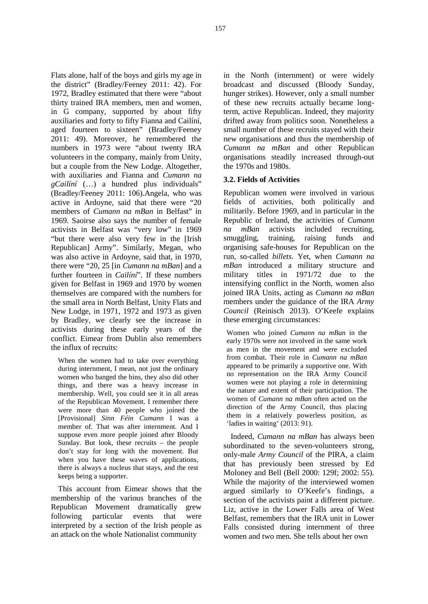Flats alone, half of the boys and girls my age in the district" (Bradley/Feeney 2011: 42). For 1972, Bradley estimated that there were "about thirty trained IRA members, men and women, in G company, supported by about fifty auxiliaries and forty to fifty Fianna and Cailíní, aged fourteen to sixteen" (Bradley/Feeney 2011: 49). Moreover, he remembered the numbers in 1973 were "about twenty IRA volunteers in the company, mainly from Unity, but a couple from the New Lodge. Altogether, with auxiliaries and Fianna and *Cumann na gCailíní* (…) a hundred plus individuals" (Bradley/Feeney 2011: 106).Angela, who was active in Ardoyne, said that there were "20 members of *Cumann na mBan* in Belfast" in 1969. Saoirse also says the number of female activists in Belfast was "very low" in 1969 "but there were also very few in the [Irish Republican] Army". Similarly, Megan, who was also active in Ardoyne, said that, in 1970, there were "20, 25 [in *Cumann na mBan*] and a further fourteen in *Cailíní*". If these numbers given for Belfast in 1969 and 1970 by women themselves are compared with the numbers for the small area in North Belfast, Unity Flats and New Lodge, in 1971, 1972 and 1973 as given by Bradley, we clearly see the increase in activists during these early years of the conflict. Eimear from Dublin also remembers the influx of recruits:

When the women had to take over everything during internment, I mean, not just the ordinary women who banged the bins, they also did other things, and there was a heavy increase in membership. Well, you could see it in all areas of the Republican Movement. I remember there were more than 40 people who joined the [Provisional] *Sinn Féin Cumann* I was a member of. That was after internment. And I suppose even more people joined after Bloody Sunday. But look, these recruits – the people don't stay for long with the movement. But when you have these waves of applications, there is always a nucleus that stays, and the rest keeps being a supporter.

This account from Eimear shows that the membership of the various branches of the Republican Movement dramatically grew following particular events that were interpreted by a section of the Irish people as an attack on the whole Nationalist community

in the North (internment) or were widely broadcast and discussed (Bloody Sunday, hunger strikes). However, only a small number of these new recruits actually became longterm, active Republican. Indeed, they majority drifted away from politics soon. Nonetheless a small number of these recruits stayed with their new organisations and thus the membership of *Cumann na mBan* and other Republican organisations steadily increased through-out the 1970s and 1980s.

### **3.2. Fields of Activities**

Republican women were involved in various fields of activities, both politically and militarily. Before 1969, and in particular in the Republic of Ireland, the activities of *Cumann nBan* activists included recruiting, training, raising funds and organising safe-houses for Republican on the run, so-called *billets*. Yet, when *Cumann na mBan* introduced a military structure and military titles in 1971/72 due to the intensifying conflict in the North, women also joined IRA Units, acting as *Cumann na mBan* members under the guidance of the IRA *Army Council* (Reinisch 2013). O'Keefe explains these emerging circumstances:

Women who joined *Cumann na mBan* in the early 1970s were not involved in the same work as men in the movement and were excluded from combat. Their role in *Cumann na mBan* appeared to be primarily a supportive one. With no representation on the IRA Army Council women were not playing a role in determining the nature and extent of their participation. The women of *Cumann na mBan* often acted on the direction of the Army Council, thus placing them in a relatively powerless position, as 'ladies in waiting' (2013: 91).

Indeed, *Cumann na mBan* has always been subordinated to the seven-volunteers strong, only-male *Army Council* of the PIRA, a claim that has previously been stressed by Ed Moloney and Bell (Bell 2000: 129f; 2002: 55). While the majority of the interviewed women argued similarly to O'Keefe's findings, a section of the activists paint a different picture. Liz, active in the Lower Falls area of West Belfast, remembers that the IRA unit in Lower Falls consisted during internment of three women and two men. She tells about her own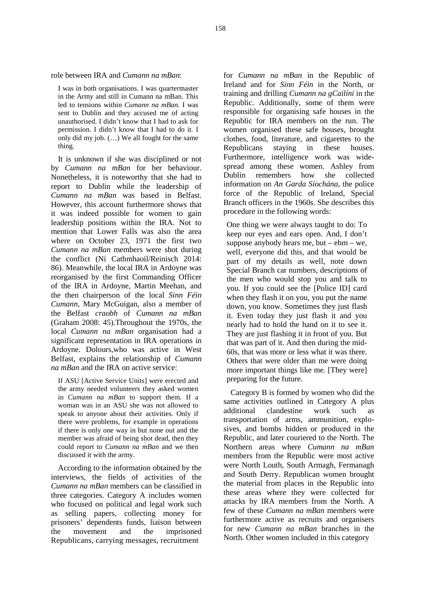role between IRA and *Cumann na mBan*:

I was in both organisations. I was quartermaster in the Army and still in Cumann na mBan. This led to tensions within *Cumann na mBan.* I was sent to Dublin and they accused me of acting unauthorised. I didn't know that I had to ask for permission. I didn't know that I had to do it. I only did my job. (…) We all fought for the same thing.

It is unknown if she was disciplined or not by *Cumann na mBan* for her behaviour. Nonetheless, it is noteworthy that she had to Dublin report to Dublin while the leadership of *Cumann na mBan* was based in Belfast. However, this account furthermore shows that it was indeed possible for women to gain leadership positions within the IRA. Not to mention that Lower Falls was also the area where on October 23, 1971 the first two *Cumann na mBan* members were shot during the conflict (Ní Cathmhaoil/Reinisch 2014: 86). Meanwhile, the local IRA in Ardoyne was reorganised by the first Commanding Officer of the IRA in Ardoyne, Martin Meehan, and the then chairperson of the local *Sinn Féin Cumann*, Mary McGuigan, also a member of the Belfast *craobh* of *Cumann na mBan* (Graham 2008: 45).Throughout the 1970s, the local *Cumann na mBan* organisation had a significant representation in IRA operations in Ardoyne. Dolours,who was active in West Belfast, explains the relationship of *Cumann na mBan* and the IRA on active service:

If ASU [Active Service Units] were erected and the army needed volunteers they asked women in *Cumann na mBan* to support them. If a woman was in an ASU she was not allowed to same activities and street and we was not allowed to which and the same activities of the street of an additional speak to anyone about their activities. Only if there were problems, for example in operations if there is only one way in but none out and the member was afraid of being shot dead, then they could report to *Cumann na mBan* and we then discussed it with the army.

According to the information obtained by the interviews, the fields of activities of the *Cumann na mBan* members can be classified in three categories. Category A includes women who focused on political and legal work such as selling papers, collecting money for prisoners' dependents funds, liaison between the movement and the imprisoned Republicans, carrying messages, recruitment

for *Cumann na mBan* in the Republic of Ireland and for *Sinn Féin* in the North, or training and drilling *Cumann na gCailíní* in the Republic. Additionally, some of them were responsible for organising safe houses in the Republic for IRA members on the run. The women organised these safe houses, brought clothes, food, literature, and cigarettes to the Republicans staying in these houses. Furthermore, intelligence work was wide spread among these women. Ashley from remembers how she collected information on *An Garda Síochána*, the police force of the Republic of Ireland, Special Branch officers in the 1960s. She describes this procedure in the following words:

One thing we were always taught to do: To keep our eyes and ears open. And, I don't suppose anybody hears me, but –  $ehm - we$ , well, everyone did this, and that would be part of my details as well, note down Special Branch car numbers, descriptions of the men who would stop you and talk to you. If you could see the [Police ID] card when they flash it on you, you put the name down, you know. Sometimes they just flash it. Even today they just flash it and you nearly had to hold the hand on it to see it. They are just flashing it in front of you. But that was part of it. And then during the mid- 60s, that was more or less what it was there. Others that were older than me were doing more important things like me. [They were] preparing for the future.

Category B is formed by women who did the same activities outlined in Category A plus clandestine work such transportation of arms, ammunition, explo sives, and bombs hidden or produced in the Republic, and later couriered to the North. The Northern areas where *Cumann na mBan* members from the Republic were most active were North Louth, South Armagh, Fermanagh and South Derry. Republican women brought the material from places in the Republic into these areas where they were collected for attacks by IRA members from the North. A few of these *Cumann na mBan* members were furthermore active as recruits and organisers for new *Cumann na mBan* branches in the North. Other women included in this category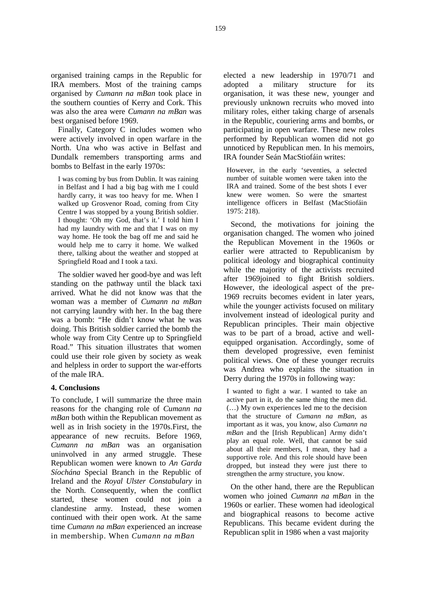organised training camps in the Republic for IRA members. Most of the training camps organised by *Cumann na mBan* took place in the southern counties of Kerry and Cork. This was also the area were *Cumann na mBan* was best organised before 1969.

Finally, Category C includes women who were actively involved in open warfare in the North. Una who was active in Belfast and Dundalk remembers transporting arms and bombs to Belfast in the early 1970s:

I was coming by bus from Dublin. It was raining in Belfast and I had a big bag with me I could hardly carry, it was too heavy for me. When I walked up Grosvenor Road, coming from City Centre I was stopped by a young British soldier. I thought: 'Oh my God, that's it.' I told him I had my laundry with me and that I was on my way home. He took the bag off me and said he would help me to carry it home. We walked there, talking about the weather and stopped at Springfield Road and I took a taxi.

The soldier waved her good-bye and was left standing on the pathway until the black taxi arrived. What he did not know was that the woman was a member of *Cumann na mBan* not carrying laundry with her. In the bag there was a bomb: "He didn't know what he was doing. This British soldier carried the bomb the whole way from City Centre up to Springfield Road." This situation illustrates that women could use their role given by society as weak and helpless in order to support the war-efforts of the male IRA.

#### **4. Conclusions**

To conclude, I will summarize the three main reasons for the changing role of *Cumann na mBan* both within the Republican movement as well as in Irish society in the 1970s.First, the appearance of new recruits. Before 1969, *Cumann na mBan* was an organisation uninvolved in any armed struggle. These Republican women were known to *An Garda Síochána* Special Branch in the Republic of Ireland and the *Royal Ulster Constabulary* in the North. Consequently, when the conflict started, these women could not join a clandestine army. Instead, these women continued with their open work. At the same time *Cumann na mBan* experienced an increase in membership. When *Cumann na mBan*

elected a new leadership in 1970/71 and a military structure for its organisation, it was these new, younger and previously unknown recruits who moved into military roles, either taking charge of arsenals in the Republic, couriering arms and bombs, or participating in open warfare. These new roles performed by Republican women did not go unnoticed by Republican men. In his memoirs, IRA founder Seán MacStiofáin writes:

However, in the early 'seventies, a selected number of suitable women were taken into the IRA and trained. Some of the best shots I ever knew were women. So were the smartest intelligence officers in Belfast (MacStiofáin 1975: 218).

Second, the motivations for joining the organisation changed. The women who joined the Republican Movement in the 1960s or earlier were attracted to Republicanism by political ideology and biographical continuity while the majority of the activists recruited after 1969joined to fight British soldiers. However, the ideological aspect of the pre- 1969 recruits becomes evident in later years, while the younger activists focused on military involvement instead of ideological purity and Republican principles. Their main objective was to be part of a broad, active and well equipped organisation. Accordingly, some of them developed progressive, even feminist political views. One of these younger recruits was Andrea who explains the situation in Derry during the 1970s in following way:

I wanted to fight a war. I wanted to take an active part in it, do the same thing the men did. (…) My own experiences led me to the decision that the structure of *Cumann na mBan*, as important as it was, you know, also *Cumann na mBan* and the [Irish Republican] Army didn't play an equal role. Well, that cannot be said about all their members, I mean, they had a supportive role. And this role should have been dropped, but instead they were just there to strengthen the army structure, you know.

On the other hand, there are the Republican women who joined *Cumann na mBan* in the 1960s or earlier. These women had ideological and biographical reasons to become active Republicans. This became evident during the Republican split in 1986 when a vast majority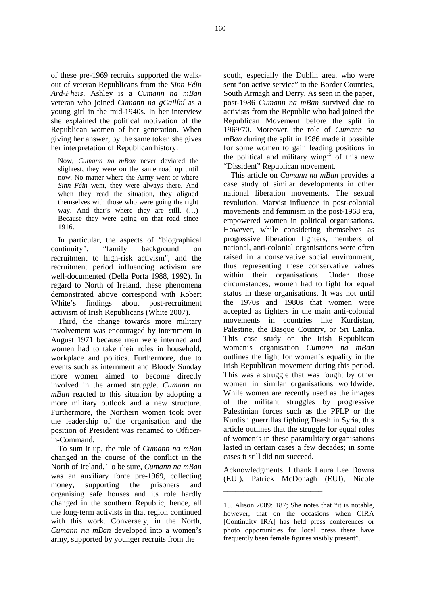of these pre-1969 recruits supported the walk out of veteran Republicans from the *Sinn Féin Ard-Fheis*. Ashley is a *Cumann na mBan* veteran who joined *Cumann na gCailíní* as a young girl in the mid-1940s. In her interview she explained the political motivation of the Republican women of her generation. When giving her answer, by the same token she gives her interpretation of Republican history:

Now, *Cumann na mBan* never deviated the slightest, they were on the same road up until now. No matter where the Army went or where *Sinn Féin* went, they were always there. And when they read the situation, they aligned themselves with those who were going the right way. And that's where they are still. (…) Because they were going on that road since 1916.

In particular, the aspects of "biographical<br>pointinuity", "family background on continuity", "family background on recruitment to high-risk activism", and the recruitment period influencing activism are well-documented (Della Porta 1988, 1992). In regard to North of Ireland, these phenomena demonstrated above correspond with Robert White's findings about post-recruitment activism of Irish Republicans (White 2007).

Third, the change towards more military involvement was encouraged by internment in August 1971 because men were interned and women had to take their roles in household, workplace and politics. Furthermore, due to events such as internment and Bloody Sunday more women aimed to become directly involved in the armed struggle. *Cumann na mBan* reacted to this situation by adopting a more military outlook and a new structure. Furthermore, the Northern women took over the leadership of the organisation and the position of President was renamed to Officerin-Command.

To sum it up, the role of *Cumann na mBan* changed in the course of the conflict in the North of Ireland. To be sure, *Cumann na mBan* was an auxiliary force pre-1969, collecting money, supporting the prisoners and organising safe houses and its role hardly changed in the southern Republic, hence, all the long-term activists in that region continued with this work. Conversely, in the North, *Cumann na mBan* developed into a women's army, supported by younger recruits from the

south, especially the Dublin area, who were sent "on active service" to the Border Counties, South Armagh and Derry. As seen in the paper, post-1986 *Cumann na mBan* survived due to activists from the Republic who had joined the Republican Movement before the split in 1969/70. Moreover, the role of *Cumann na mBan* during the split in 1986 made it possible for some women to gain leading positions in the political and military wing<sup>15</sup> of this new "Dissident" Republican movement.

This article on *Cumann na mBan* provides a case study of similar developments in other national liberation movements. The sexual revolution, Marxist influence in post-colonial movements and feminism in the post-1968 era, empowered women in political organisations. However, while considering themselves as progressive liberation fighters, members of national, anti-colonial organisations were often raised in a conservative social environment, thus representing these conservative values within their organisations. Under those circumstances, women had to fight for equal status in these organisations. It was not until the 1970s and 1980s that women were accepted as fighters in the main anti-colonial movements in countries like Kurdistan, Palestine, the Basque Country, or Sri Lanka. This case study on the Irish Republican women's organisation *Cumann na mBan* outlines the fight for women's equality in the Irish Republican movement during this period. This was a struggle that was fought by other women in similar organisations worldwide. While women are recently used as the images of the militant struggles by progressive Palestinian forces such as the PFLP or the Kurdish guerrillas fighting Daesh in Syria, this article outlines that the struggle for equal roles of women's in these paramilitary organisations lasted in certain cases a few decades; in some cases it still did not succeed.

Acknowledgments. I thank Laura Lee Downs (EUI), Patrick McDonagh (EUI), Nicole

\_\_\_\_\_\_\_\_\_\_\_\_\_\_\_\_\_\_\_\_\_\_\_\_\_

<sup>15.</sup> Alison 2009: 187; She notes that "it is notable, however, that on the occasions when CIRA [Continuity IRA] has held press conferences or photo opportunities for local press there have frequently been female figures visibly present".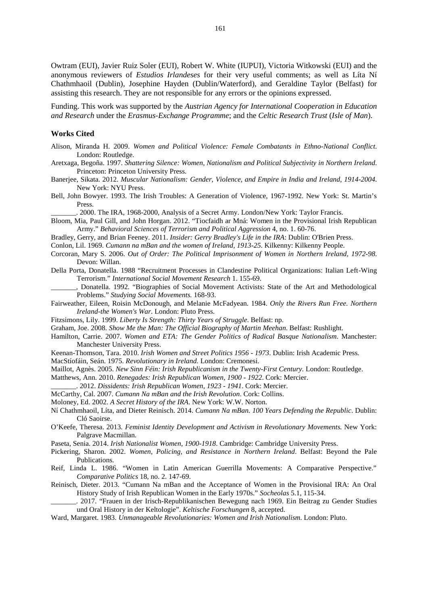Owtram (EUI), Javier Ruiz Soler (EUI), Robert W. White (IUPUI), Victoria Witkowski (EUI) and the anonymous reviewers of *Estudios Irlandeses* for their very useful comments; as well as Líta Ní Chathmhaoil (Dublin), Josephine Hayden (Dublin/Waterford), and Geraldine Taylor (Belfast) for assisting this research. They are not responsible for any errors or the opinions expressed.

Funding. This work was supported by the *Austrian Agency for International Cooperation in Education and Research* under the *Erasmus-Exchange Programme*; and the *Celtic Research Trust* (*Isle of Man*).

#### **Works Cited**

- Alison, Miranda H. 2009. *Women and Political Violence: Female Combatants in Ethno-National Conflict*. London: Routledge.
- Aretxaga, Begoña. 1997. *Shattering Silence: Women, Nationalism and Political Subjectivity in Northern Ireland*. Princeton: Princeton University Press.
- Banerjee, Sikata. 2012. *Muscular Nationalism: Gender, Violence, and Empire in India and Ireland, 1914-2004*. New York: NYU Press.
- Bell, John Bowyer. 1993. The Irish Troubles: A Generation of Violence, 1967-1992. New York: St. Martin's Press.

\_\_\_\_\_\_\_. 2000. The IRA, 1968-2000, Analysis of a Secret Army. London/New York: Taylor Francis.

- Bloom, Mia, Paul Gill, and John Horgan. 2012. "Tiocfaidh ar Mná: Women in the Provisional Irish Republican Army." *Behavioral Sciences of Terrorism and Political Aggression* 4, no. 1. 60-76.
- Bradley, Gerry, and Brian Feeney. 2011. *Insider: Gerry Bradley's Life in the IRA*: Dublin: O'Brien Press.

Conlon, Lil. 1969. *Cumann na mBan and the women of Ireland, 1913-25*. Kilkenny: Kilkenny People.

- Corcoran, Mary S. 2006. *Out of Order: The Political Imprisonment of Women in Northern Ireland, 1972-98*. Devon: Willan.
- Della Porta, Donatella. 1988 "Recruitment Processes in Clandestine Political Organizations: Italian Left-Wing Terrorism." *International Social Movement Research* 1. 155-69.
- \_\_\_\_\_\_\_, Donatella. 1992. "Biographies of Social Movement Activists: State of the Art and Methodological Problems." *Studying Social Movements.* 168-93.
- Fairweather, Eileen, Roisin McDonough, and Melanie McFadyean. 1984. *Only the Rivers Run Free. Northern Ireland-the Women's War*. London: Pluto Press.
- Fitzsimons, Lily. 1999. *Liberty Is Strength: Thirty Years of Struggle*. Belfast: np.
- Graham, Joe. 2008. *Show Me the Man: The Official Biography of Martin Meehan*. Belfast: Rushlight.
- Hamilton, Carrie. 2007. *Women and ETA: The Gender Politics of Radical Basque Nationalism*. Manchester: Manchester University Press.
- Keenan-Thomson, Tara. 2010. *Irish Women and Street Politics 1956 - 1973*. Dublin: Irish Academic Press.
- MacStíofáin, Seán. 1975. *Revolutionary in Ireland.* London: Cremonesi.
- Maillot, Agnès. 2005. *New Sinn Féin: Irish Republicanism in the Twenty-First Century*. London: Routledge.
- Matthews, Ann. 2010. *Renegades: Irish Republican Women, 1900 - 1922*. Cork: Mercier.
- \_\_\_\_\_\_\_. 2012. *Dissidents: Irish Republican Women, 1923 - 1941*. Cork: Mercier.
- McCarthy, Cal. 2007. *Cumann Na mBan and the Irish Revolution*. Cork: Collins.
- Moloney, Ed. 2002. *A Secret History of the IRA*. New York: W.W. Norton.
- Ní Chathmhaoil, Líta, and Dieter Reinisch. 2014. *Cumann Na mBan. 100 Years Defending the Republic*. Dublin: Cló Saoirse.
- O'Keefe, Theresa. 2013. *Feminist Identity Development and Activism in Revolutionary Movements.* New York: Palgrave Macmillan.
- Paseta, Senia. 2014. *Irish Nationalist Women, 1900-1918*. Cambridge: Cambridge University Press.
- Pickering, Sharon. 2002. *Women, Policing, and Resistance in Northern Ireland*. Belfast: Beyond the Pale Publications.
- Reif, Linda L. 1986. "Women in Latin American Guerrilla Movements: A Comparative Perspective." *Comparative Politics* 18, no. 2. 147-69.
- Reinisch, Dieter. 2013. "Cumann Na mBan and the Acceptance of Women in the Provisional IRA: An Oral History Study of Irish Republican Women in the Early 1970s." *Socheolas* 5.1, 115-34.
- \_\_\_\_\_\_\_. 2017. "Frauen in der Irisch-Republikanischen Bewegung nach 1969. Ein Beitrag zu Gender Studies und Oral History in der Keltologie". *Keltische Forschungen* 8, accepted.
- Ward, Margaret. 1983. *Unmanageable Revolutionaries: Women and Irish Nationalism*. London: Pluto.